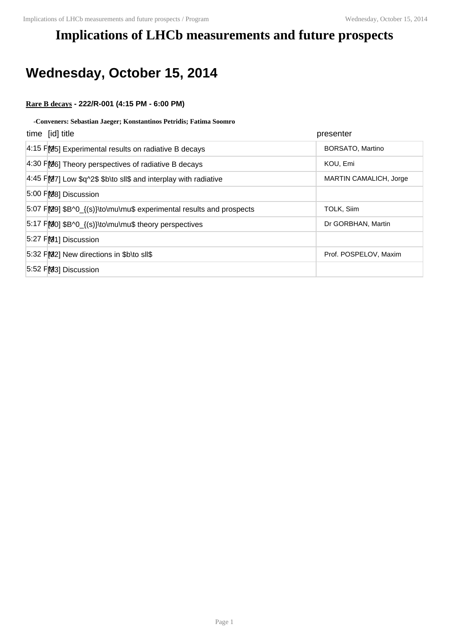# **Implications of LHCb measurements and future prospects**

# **Wednesday, October 15, 2014**

### **Rare B decays - 222/R-001 (4:15 PM - 6:00 PM)**

#### **-Conveners: Sebastian Jaeger; Konstantinos Petridis; Fatima Soomro**

| time [id] title                                                     | presenter              |
|---------------------------------------------------------------------|------------------------|
| $4:15$ PM <sub>25</sub> Experimental results on radiative B decays  | BORSATO, Martino       |
| $4:30$ PMb <sub>6</sub> ] Theory perspectives of radiative B decays | KOU, Emi               |
| 4:45 PM7] Low \$q^2\$ \$b\to sll\$ and interplay with radiative     | MARTIN CAMALICH, Jorge |
| 5:00 FM8] Discussion                                                |                        |
| 5:07 FM9] \$B^0_{(s)}\to\mu\mu\$ experimental results and prospects | TOLK, Siim             |
| 5:17 F[00] \$B^0_{(s)}\to\mu\mu\$ theory perspectives               | Dr GORBHAN, Martin     |
| 5:27 FM1] Discussion                                                |                        |
| 5:32 FM2] New directions in \$b\to sll\$                            | Prof. POSPELOV, Maxim  |
| 5:52 PM3] Discussion                                                |                        |